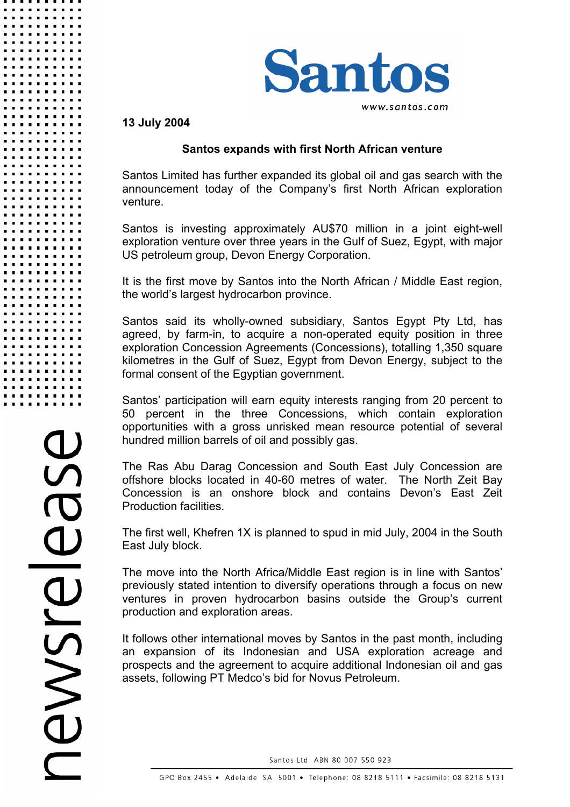

## **13 July 2004**

## **Santos expands with first North African venture**

Santos Limited has further expanded its global oil and gas search with the announcement today of the Company's first North African exploration venture.

Santos is investing approximately AU\$70 million in a joint eight-well exploration venture over three years in the Gulf of Suez, Egypt, with major US petroleum group, Devon Energy Corporation.

It is the first move by Santos into the North African / Middle East region, the world's largest hydrocarbon province.

Santos said its wholly-owned subsidiary, Santos Egypt Pty Ltd, has agreed, by farm-in, to acquire a non-operated equity position in three exploration Concession Agreements (Concessions), totalling 1,350 square kilometres in the Gulf of Suez, Egypt from Devon Energy, subject to the formal consent of the Egyptian government.

Santos' participation will earn equity interests ranging from 20 percent to 50 percent in the three Concessions, which contain exploration opportunities with a gross unrisked mean resource potential of several hundred million barrels of oil and possibly gas.

The Ras Abu Darag Concession and South East July Concession are offshore blocks located in 40-60 metres of water. The North Zeit Bay Concession is an onshore block and contains Devon's East Zeit Production facilities.

The first well, Khefren 1X is planned to spud in mid July, 2004 in the South East July block.

The move into the North Africa/Middle East region is in line with Santos' previously stated intention to diversify operations through a focus on new ventures in proven hydrocarbon basins outside the Group's current production and exploration areas.

It follows other international moves by Santos in the past month, including an expansion of its Indonesian and USA exploration acreage and prospects and the agreement to acquire additional Indonesian oil and gas assets, following PT Medco's bid for Novus Petroleum.

Santos Ltd ABN 80 007 550 923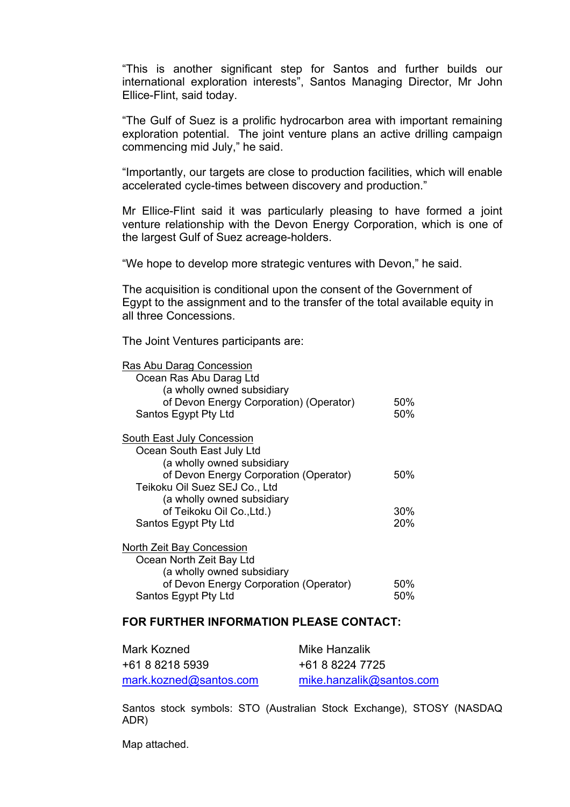"This is another significant step for Santos and further builds our international exploration interests", Santos Managing Director, Mr John Ellice-Flint, said today.

"The Gulf of Suez is a prolific hydrocarbon area with important remaining exploration potential. The joint venture plans an active drilling campaign commencing mid July," he said.

"Importantly, our targets are close to production facilities, which will enable accelerated cycle-times between discovery and production."

Mr Ellice-Flint said it was particularly pleasing to have formed a joint venture relationship with the Devon Energy Corporation, which is one of the largest Gulf of Suez acreage-holders.

"We hope to develop more strategic ventures with Devon," he said.

The acquisition is conditional upon the consent of the Government of Egypt to the assignment and to the transfer of the total available equity in all three Concessions.

The Joint Ventures participants are:

| Ras Abu Darag Concession                |     |
|-----------------------------------------|-----|
| Ocean Ras Abu Darag Ltd                 |     |
| (a wholly owned subsidiary              |     |
| of Devon Energy Corporation) (Operator) | 50% |
| Santos Egypt Pty Ltd                    | 50% |
| <b>South East July Concession</b>       |     |
| Ocean South East July Ltd               |     |
| (a wholly owned subsidiary              |     |
| of Devon Energy Corporation (Operator)  | 50% |
| Teikoku Oil Suez SEJ Co., Ltd           |     |
| (a wholly owned subsidiary              |     |
| of Teikoku Oil Co., Ltd.)               | 30% |
| Santos Egypt Pty Ltd                    | 20% |
| <b>North Zeit Bay Concession</b>        |     |
| Ocean North Zeit Bay Ltd                |     |
| (a wholly owned subsidiary              |     |
| of Devon Energy Corporation (Operator)  | 50% |

#### **FOR FURTHER INFORMATION PLEASE CONTACT:**

Santos Egypt Pty Ltd 50%

| Mark Kozned            | Mike Hanzalik            |
|------------------------|--------------------------|
| +61 8 8218 5939        | +61 8 8224 7725          |
| mark.kozned@santos.com | mike.hanzalik@santos.com |

Santos stock symbols: STO (Australian Stock Exchange), STOSY (NASDAQ ADR)

Map attached.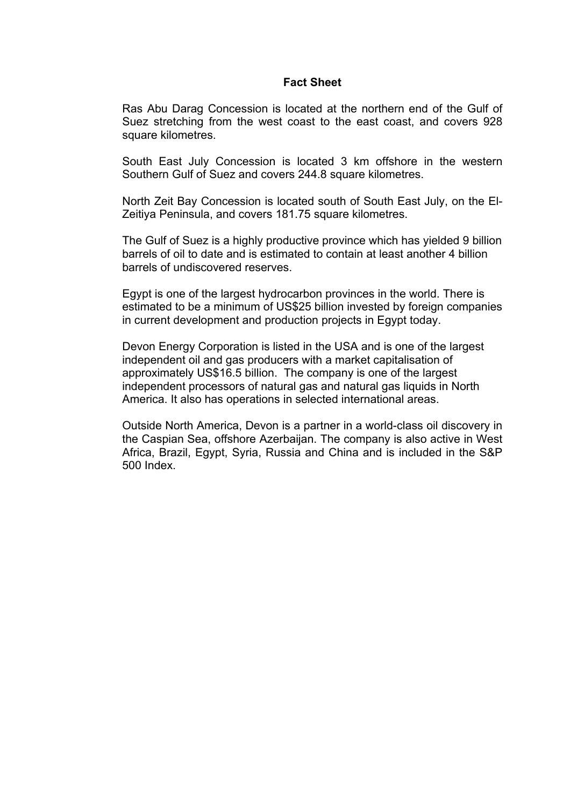### **Fact Sheet**

Ras Abu Darag Concession is located at the northern end of the Gulf of Suez stretching from the west coast to the east coast, and covers 928 square kilometres.

South East July Concession is located 3 km offshore in the western Southern Gulf of Suez and covers 244.8 square kilometres.

North Zeit Bay Concession is located south of South East July, on the El-Zeitiya Peninsula, and covers 181.75 square kilometres.

The Gulf of Suez is a highly productive province which has yielded 9 billion barrels of oil to date and is estimated to contain at least another 4 billion barrels of undiscovered reserves.

Egypt is one of the largest hydrocarbon provinces in the world. There is estimated to be a minimum of US\$25 billion invested by foreign companies in current development and production projects in Egypt today.

Devon Energy Corporation is listed in the USA and is one of the largest independent oil and gas producers with a market capitalisation of approximately US\$16.5 billion. The company is one of the largest independent processors of natural gas and natural gas liquids in North America. It also has operations in selected international areas.

Outside North America, Devon is a partner in a world-class oil discovery in the Caspian Sea, offshore Azerbaijan. The company is also active in West Africa, Brazil, Egypt, Syria, Russia and China and is included in the S&P 500 Index.